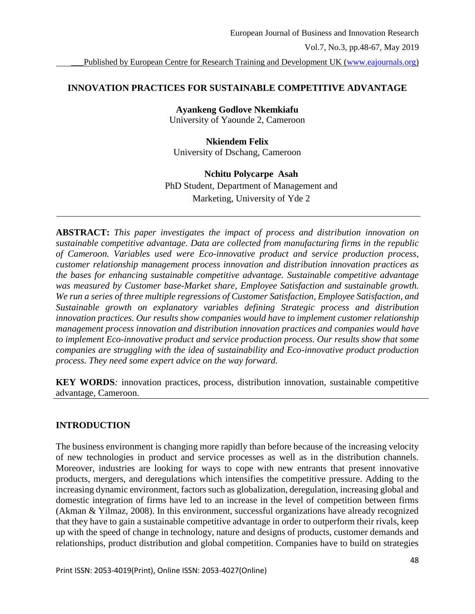# **INNOVATION PRACTICES FOR SUSTAINABLE COMPETITIVE ADVANTAGE**

**Ayankeng Godlove Nkemkiafu** University of Yaounde 2, Cameroon

**Nkiendem Felix** University of Dschang, Cameroon

## **Nchitu Polycarpe Asah**

PhD Student, Department of Management and Marketing, University of Yde 2

**ABSTRACT:** *This paper investigates the impact of process and distribution innovation on sustainable competitive advantage. Data are collected from manufacturing firms in the republic of Cameroon. Variables used were Eco-innovative product and service production process, customer relationship management process innovation and distribution innovation practices as the bases for enhancing sustainable competitive advantage. Sustainable competitive advantage was measured by Customer base-Market share, Employee Satisfaction and sustainable growth. We run a series of three multiple regressions of Customer Satisfaction, Employee Satisfaction, and Sustainable growth on explanatory variables defining Strategic process and distribution innovation practices. Our results show companies would have to implement customer relationship management process innovation and distribution innovation practices and companies would have to implement Eco-innovative product and service production process. Our results show that some companies are struggling with the idea of sustainability and Eco-innovative product production process. They need some expert advice on the way forward.*

**KEY WORDS***:* innovation practices, process, distribution innovation, sustainable competitive advantage, Cameroon.

# **INTRODUCTION**

The business environment is changing more rapidly than before because of the increasing velocity of new technologies in product and service processes as well as in the distribution channels. Moreover, industries are looking for ways to cope with new entrants that present innovative products, mergers, and deregulations which intensifies the competitive pressure. Adding to the increasing dynamic environment, factors such as globalization, deregulation, increasing global and domestic integration of firms have led to an increase in the level of competition between firms (Akman & Yilmaz, 2008). In this environment, successful organizations have already recognized that they have to gain a sustainable competitive advantage in order to outperform their rivals, keep up with the speed of change in technology, nature and designs of products, customer demands and relationships, product distribution and global competition. Companies have to build on strategies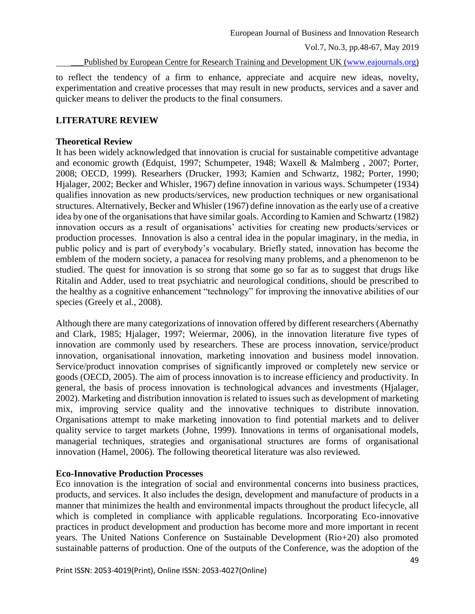Published by European Centre for Research Training and Development UK [\(www.eajournals.org\)](http://www.eajournals.org/)

to reflect the tendency of a firm to enhance, appreciate and acquire new ideas, novelty, experimentation and creative processes that may result in new products, services and a saver and quicker means to deliver the products to the final consumers.

## **LITERATURE REVIEW**

### **Theoretical Review**

It has been widely acknowledged that innovation is crucial for sustainable competitive advantage and economic growth (Edquist, 1997; Schumpeter, 1948; Waxell & Malmberg , 2007; Porter, 2008; OECD, 1999). Researhers (Drucker, 1993; Kamien and Schwartz, 1982; Porter, 1990; Hjalager, 2002; Becker and Whisler, 1967) define innovation in various ways. Schumpeter (1934) qualifies innovation as new products/services, new production techniques or new organisational structures. Alternatively, Becker and Whisler (1967) define innovation as the early use of a creative idea by one of the organisations that have similar goals. According to Kamien and Schwartz (1982) innovation occurs as a result of organisations' activities for creating new products/services or production processes. Innovation is also a central idea in the popular imaginary, in the media, in public policy and is part of everybody's vocabulary. Briefly stated, innovation has become the emblem of the modern society, a panacea for resolving many problems, and a phenomenon to be studied. The quest for innovation is so strong that some go so far as to suggest that drugs like Ritalin and Adder, used to treat psychiatric and neurological conditions, should be prescribed to the healthy as a cognitive enhancement "technology" for improving the innovative abilities of our species (Greely et al., 2008).

Although there are many categorizations of innovation offered by different researchers (Abernathy and Clark, 1985; Hjalager, 1997; Weiermar, 2006), in the innovation literature five types of innovation are commonly used by researchers. These are process innovation, service/product innovation, organisational innovation, marketing innovation and business model innovation. Service/product innovation comprises of significantly improved or completely new service or goods (OECD, 2005). The aim of process innovation is to increase efficiency and productivity. In general, the basis of process innovation is technological advances and investments (Hjalager, 2002). Marketing and distribution innovation is related to issues such as development of marketing mix, improving service quality and the innovative techniques to distribute innovation. Organisations attempt to make marketing innovation to find potential markets and to deliver quality service to target markets (Johne, 1999). Innovations in terms of organisational models, managerial techniques, strategies and organisational structures are forms of organisational innovation (Hamel, 2006). The following theoretical literature was also reviewed.

## **Eco-Innovative Production Processes**

Eco innovation is the integration of social and environmental concerns into business practices, products, and services. It also includes the design, development and manufacture of products in a manner that minimizes the health and environmental impacts throughout the product lifecycle, all which is completed in compliance with applicable regulations. Incorporating Eco-innovative practices in product development and production has become more and more important in recent years. The United Nations Conference on Sustainable Development (Rio+20) also promoted sustainable patterns of production. One of the outputs of the Conference, was the adoption of the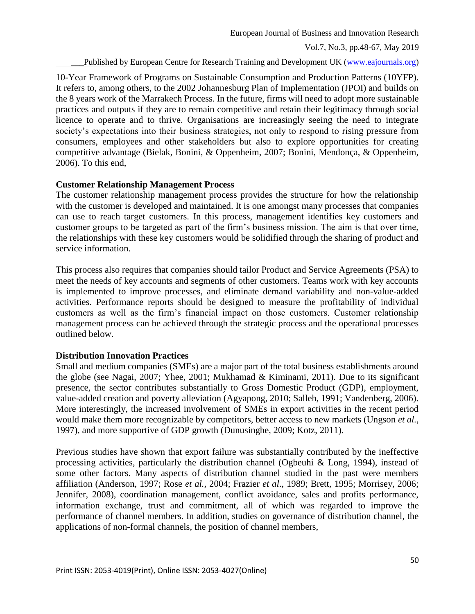Published by European Centre for Research Training and Development UK [\(www.eajournals.org\)](http://www.eajournals.org/)

10-Year Framework of Programs on Sustainable Consumption and Production Patterns (10YFP). It refers to, among others, to the 2002 Johannesburg Plan of Implementation (JPOI) and builds on the 8 years work of the Marrakech Process. In the future, firms will need to adopt more sustainable practices and outputs if they are to remain competitive and retain their legitimacy through social licence to operate and to thrive. Organisations are increasingly seeing the need to integrate society's expectations into their business strategies, not only to respond to rising pressure from consumers, employees and other stakeholders but also to explore opportunities for creating competitive advantage (Bielak, Bonini, & Oppenheim, 2007; Bonini, Mendonça, & Oppenheim, 2006). To this end,

## **Customer Relationship Management Process**

The customer relationship management process provides the structure for how the relationship with the customer is developed and maintained. It is one amongst many processes that companies can use to reach target customers. In this process, management identifies key customers and customer groups to be targeted as part of the firm's business mission. The aim is that over time, the relationships with these key customers would be solidified through the sharing of product and service information.

This process also requires that companies should tailor Product and Service Agreements (PSA) to meet the needs of key accounts and segments of other customers. Teams work with key accounts is implemented to improve processes, and eliminate demand variability and non-value-added activities. Performance reports should be designed to measure the profitability of individual customers as well as the firm's financial impact on those customers. Customer relationship management process can be achieved through the strategic process and the operational processes outlined below.

## **Distribution Innovation Practices**

Small and medium companies (SMEs) are a major part of the total business establishments around the globe (see Nagai, 2007; Yhee, 2001; Mukhamad & Kiminami, 2011). Due to its significant presence, the sector contributes substantially to Gross Domestic Product (GDP), employment, value-added creation and poverty alleviation (Agyapong, 2010; Salleh, 1991; Vandenberg, 2006). More interestingly, the increased involvement of SMEs in export activities in the recent period would make them more recognizable by competitors, better access to new markets (Ungson *et al.*, 1997), and more supportive of GDP growth (Dunusinghe, 2009; Kotz, 2011).

Previous studies have shown that export failure was substantially contributed by the ineffective processing activities, particularly the distribution channel (Ogbeuhi & Long, 1994), instead of some other factors. Many aspects of distribution channel studied in the past were members affiliation (Anderson, 1997; Rose *et al.,* 2004; Frazier *et al*., 1989; Brett, 1995; Morrisey, 2006; Jennifer, 2008), coordination management, conflict avoidance, sales and profits performance, information exchange, trust and commitment, all of which was regarded to improve the performance of channel members. In addition, studies on governance of distribution channel, the applications of non-formal channels, the position of channel members,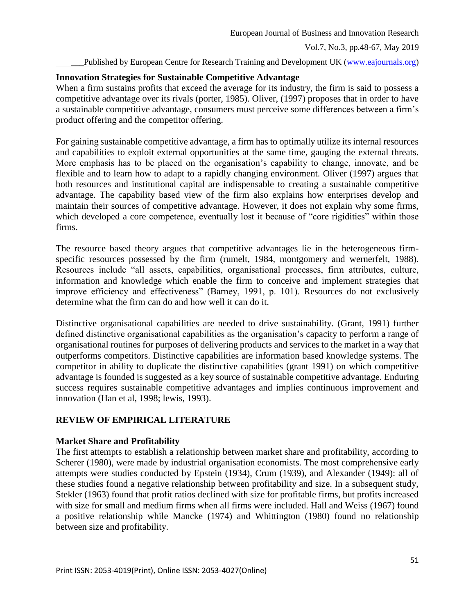### Published by European Centre for Research Training and Development UK [\(www.eajournals.org\)](http://www.eajournals.org/)

### **Innovation Strategies for Sustainable Competitive Advantage**

When a firm sustains profits that exceed the average for its industry, the firm is said to possess a competitive advantage over its rivals (porter, 1985). Oliver, (1997) proposes that in order to have a sustainable competitive advantage, consumers must perceive some differences between a firm's product offering and the competitor offering.

For gaining sustainable competitive advantage, a firm has to optimally utilize its internal resources and capabilities to exploit external opportunities at the same time, gauging the external threats. More emphasis has to be placed on the organisation's capability to change, innovate, and be flexible and to learn how to adapt to a rapidly changing environment. Oliver (1997) argues that both resources and institutional capital are indispensable to creating a sustainable competitive advantage. The capability based view of the firm also explains how enterprises develop and maintain their sources of competitive advantage. However, it does not explain why some firms, which developed a core competence, eventually lost it because of "core rigidities" within those firms.

The resource based theory argues that competitive advantages lie in the heterogeneous firmspecific resources possessed by the firm (rumelt, 1984, montgomery and wernerfelt, 1988). Resources include "all assets, capabilities, organisational processes, firm attributes, culture, information and knowledge which enable the firm to conceive and implement strategies that improve efficiency and effectiveness" (Barney, 1991, p. 101). Resources do not exclusively determine what the firm can do and how well it can do it.

Distinctive organisational capabilities are needed to drive sustainability. (Grant, 1991) further defined distinctive organisational capabilities as the organisation's capacity to perform a range of organisational routines for purposes of delivering products and services to the market in a way that outperforms competitors. Distinctive capabilities are information based knowledge systems. The competitor in ability to duplicate the distinctive capabilities (grant 1991) on which competitive advantage is founded is suggested as a key source of sustainable competitive advantage. Enduring success requires sustainable competitive advantages and implies continuous improvement and innovation (Han et al, 1998; lewis, 1993).

# **REVIEW OF EMPIRICAL LITERATURE**

## **Market Share and Profitability**

The first attempts to establish a relationship between market share and profitability, according to Scherer (1980), were made by industrial organisation economists. The most comprehensive early attempts were studies conducted by Epstein (1934), Crum (1939), and Alexander (1949): all of these studies found a negative relationship between profitability and size. In a subsequent study, Stekler (1963) found that profit ratios declined with size for profitable firms, but profits increased with size for small and medium firms when all firms were included. Hall and Weiss (1967) found a positive relationship while Mancke (1974) and Whittington (1980) found no relationship between size and profitability.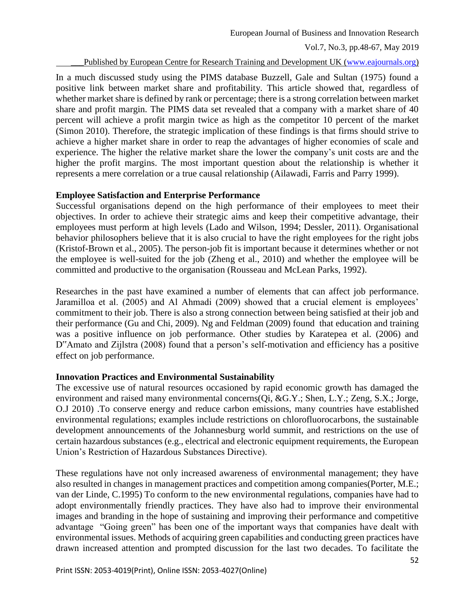Published by European Centre for Research Training and Development UK [\(www.eajournals.org\)](http://www.eajournals.org/)

In a much discussed study using the PIMS database Buzzell, Gale and Sultan (1975) found a positive link between market share and profitability. This article showed that, regardless of whether market share is defined by rank or percentage; there is a strong correlation between market share and profit margin. The PIMS data set revealed that a company with a market share of 40 percent will achieve a profit margin twice as high as the competitor 10 percent of the market (Simon 2010). Therefore, the strategic implication of these findings is that firms should strive to achieve a higher market share in order to reap the advantages of higher economies of scale and experience. The higher the relative market share the lower the company's unit costs are and the higher the profit margins. The most important question about the relationship is whether it represents a mere correlation or a true causal relationship (Ailawadi, Farris and Parry 1999).

### **Employee Satisfaction and Enterprise Performance**

Successful organisations depend on the high performance of their employees to meet their objectives. In order to achieve their strategic aims and keep their competitive advantage, their employees must perform at high levels (Lado and Wilson, 1994; Dessler, 2011). Organisational behavior philosophers believe that it is also crucial to have the right employees for the right jobs (Kristof-Brown et al., 2005). The person-job fit is important because it determines whether or not the employee is well-suited for the job (Zheng et al., 2010) and whether the employee will be committed and productive to the organisation (Rousseau and McLean Parks, 1992).

Researches in the past have examined a number of elements that can affect job performance. Jaramilloa et al. (2005) and Al Ahmadi (2009) showed that a crucial element is employees' commitment to their job. There is also a strong connection between being satisfied at their job and their performance (Gu and Chi, 2009). Ng and Feldman (2009) found that education and training was a positive influence on job performance. Other studies by Karatepea et al. (2006) and D"Amato and Zijlstra (2008) found that a person's self-motivation and efficiency has a positive effect on job performance.

## **Innovation Practices and Environmental Sustainability**

The excessive use of natural resources occasioned by rapid economic growth has damaged the environment and raised many environmental concerns(Qi, &G.Y.; Shen, L.Y.; Zeng, S.X.; Jorge, O.J 2010) .To conserve energy and reduce carbon emissions, many countries have established environmental regulations; examples include restrictions on chlorofluorocarbons, the sustainable development announcements of the Johannesburg world summit, and restrictions on the use of certain hazardous substances (e.g., electrical and electronic equipment requirements, the European Union's Restriction of Hazardous Substances Directive).

These regulations have not only increased awareness of environmental management; they have also resulted in changes in management practices and competition among companies(Porter, M.E.; van der Linde, C.1995) To conform to the new environmental regulations, companies have had to adopt environmentally friendly practices. They have also had to improve their environmental images and branding in the hope of sustaining and improving their performance and competitive advantage "Going green" has been one of the important ways that companies have dealt with environmental issues. Methods of acquiring green capabilities and conducting green practices have drawn increased attention and prompted discussion for the last two decades. To facilitate the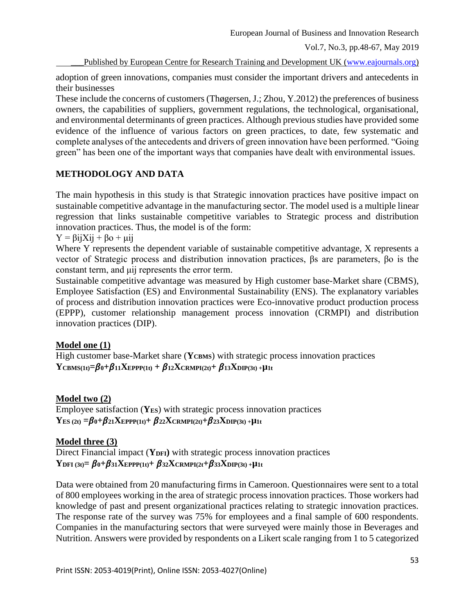\_\_\_Published by European Centre for Research Training and Development UK [\(www.eajournals.org\)](http://www.eajournals.org/)

adoption of green innovations, companies must consider the important drivers and antecedents in their businesses

These include the concerns of customers (Thøgersen, J.; Zhou, Y.2012) the preferences of business owners, the capabilities of suppliers, government regulations, the technological, organisational, and environmental determinants of green practices. Although previous studies have provided some evidence of the influence of various factors on green practices, to date, few systematic and complete analyses of the antecedents and drivers of green innovation have been performed. "Going green" has been one of the important ways that companies have dealt with environmental issues.

## **METHODOLOGY AND DATA**

The main hypothesis in this study is that Strategic innovation practices have positive impact on sustainable competitive advantage in the manufacturing sector. The model used is a multiple linear regression that links sustainable competitive variables to Strategic process and distribution innovation practices. Thus, the model is of the form:

 $Y = \beta i jX i j + \beta o + \mu i j$ 

Where Y represents the dependent variable of sustainable competitive advantage, X represents a vector of Strategic process and distribution innovation practices, βs are parameters, βo is the constant term, and μij represents the error term.

Sustainable competitive advantage was measured by High customer base-Market share (CBMS), Employee Satisfaction (ES) and Environmental Sustainability (ENS). The explanatory variables of process and distribution innovation practices were Eco-innovative product production process (EPPP), customer relationship management process innovation (CRMPI) and distribution innovation practices (DIP).

## **Model one (1)**

High customer base-Market share (YCBMS) with strategic process innovation practices  $Y_{CBMS(1t)} = \beta_0 + \beta_{11} X_{EPPP(1t)} + \beta_{12} X_{CRMPI(2t)} + \beta_{13} X_{DIP(3t)} + \mu_{1t}$ 

## **Model two (2)**

Employee satisfaction (**YES**) with strategic process innovation practices **YES** (2t) **=** $\beta$ **0+** $\beta$ **21XEPPP**(1t)**+** $\beta$ **22X**CRMPI(2t)**+** $\beta$ **23X**DIP(3t)+**µ**<sup>1t</sup>

## **Model three (3)**

Direct Financial impact (**YDFI)** with strategic process innovation practices **YDFI** (3t)**=**  $\beta$ **0+** $\beta$ 31**XEPPP**(1t)**+**  $\beta$ 32**X**CRMPI(2t**+** $\beta$ 33**X**DIP(3t) +**µ**1t

Data were obtained from 20 manufacturing firms in Cameroon. Questionnaires were sent to a total of 800 employees working in the area of strategic process innovation practices. Those workers had knowledge of past and present organizational practices relating to strategic innovation practices. The response rate of the survey was 75% for employees and a final sample of 600 respondents. Companies in the manufacturing sectors that were surveyed were mainly those in Beverages and Nutrition. Answers were provided by respondents on a Likert scale ranging from 1 to 5 categorized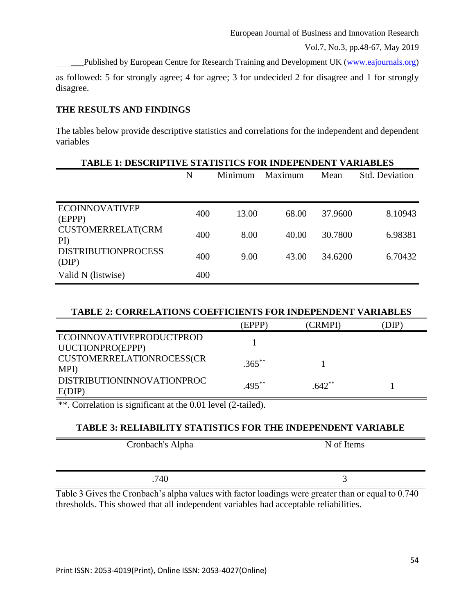European Journal of Business and Innovation Research

Vol.7, No.3, pp.48-67, May 2019

Published by European Centre for Research Training and Development UK [\(www.eajournals.org\)](http://www.eajournals.org/)

as followed: 5 for strongly agree; 4 for agree; 3 for undecided 2 for disagree and 1 for strongly disagree.

# **THE RESULTS AND FINDINGS**

The tables below provide descriptive statistics and correlations for the independent and dependent variables

|                                       | <b>TABLE 1: DESCRIPTIVE STATISTICS FOR INDEPENDENT VARIABLES</b> |         |         |         |                       |  |  |  |
|---------------------------------------|------------------------------------------------------------------|---------|---------|---------|-----------------------|--|--|--|
|                                       | N                                                                | Minimum | Maximum | Mean    | <b>Std. Deviation</b> |  |  |  |
|                                       |                                                                  |         |         |         |                       |  |  |  |
| <b>ECOINNOVATIVEP</b><br>(EPPP)       | 400                                                              | 13.00   | 68.00   | 37.9600 | 8.10943               |  |  |  |
| <b>CUSTOMERRELAT(CRM</b><br>$\rm{PD}$ | 400                                                              | 8.00    | 40.00   | 30.7800 | 6.98381               |  |  |  |
| <b>DISTRIBUTIONPROCESS</b><br>(DIP)   | 400                                                              | 9.00    | 43.00   | 34.6200 | 6.70432               |  |  |  |
| Valid N (listwise)                    | 400                                                              |         |         |         |                       |  |  |  |

## **TABLE 2: CORRELATIONS COEFFICIENTS FOR INDEPENDENT VARIABLES**

|                                              | <b>EPPP</b> | (CRMPI)   | DIP |
|----------------------------------------------|-------------|-----------|-----|
| ECOINNOVATIVEPRODUCTPROD<br>UUCTIONPRO(EPPP) |             |           |     |
| CUSTOMERRELATIONROCESS(CR<br>MPI)            | $.365***$   |           |     |
| DISTRIBUTIONINNOVATIONPROC<br>E(DIP)         | $.495***$   | $.642***$ |     |

\*\*. Correlation is significant at the 0.01 level (2-tailed).

## **TABLE 3: RELIABILITY STATISTICS FOR THE INDEPENDENT VARIABLE**

| Cronbach's Alpha | N of Items |
|------------------|------------|
| .740             |            |

Table 3 Gives the Cronbach's alpha values with factor loadings were greater than or equal to 0.740 thresholds. This showed that all independent variables had acceptable reliabilities.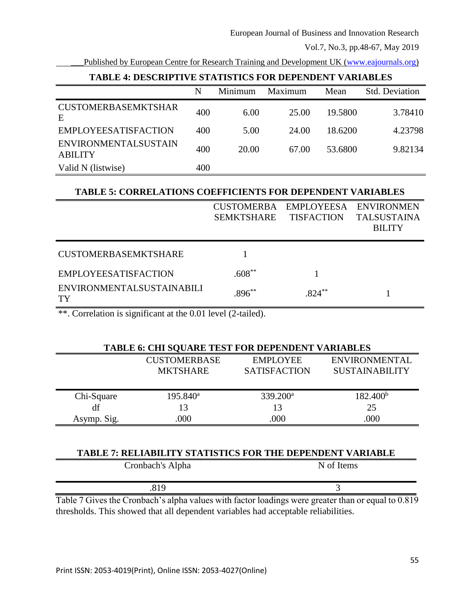Published by European Centre for Research Training and Development UK [\(www.eajournals.org\)](http://www.eajournals.org/)

|                                               | N   | Minimum | Maximum | Mean    | <b>Std. Deviation</b> |  |  |  |
|-----------------------------------------------|-----|---------|---------|---------|-----------------------|--|--|--|
| <b>CUSTOMERBASEMKTSHAR</b><br>E               | 400 | 6.00    | 25.00   | 19.5800 | 3.78410               |  |  |  |
| <b>EMPLOYEESATISFACTION</b>                   | 400 | 5.00    | 24.00   | 18.6200 | 4.23798               |  |  |  |
| <b>ENVIRONMENTALSUSTAIN</b><br><b>ABILITY</b> | 400 | 20.00   | 67.00   | 53.6800 | 9.82134               |  |  |  |
| Valid N (listwise)                            | 400 |         |         |         |                       |  |  |  |

# **TABLE 4: DESCRIPTIVE STATISTICS FOR DEPENDENT VARIABLES**

### **TABLE 5: CORRELATIONS COEFFICIENTS FOR DEPENDENT VARIABLES**

|                                        | <b>SEMKTSHARE</b> | CUSTOMERBA EMPLOYEESA ENVIRONMEN<br><b>TISFACTION</b> | <b>TALSUSTAINA</b><br><b>BILITY</b> |
|----------------------------------------|-------------------|-------------------------------------------------------|-------------------------------------|
| <b>CUSTOMERBASEMKTSHARE</b>            |                   |                                                       |                                     |
| <b>EMPLOYEESATISFACTION</b>            | $.608***$         |                                                       |                                     |
| <b>ENVIRONMENTALSUSTAINABILI</b><br>TY | $.896***$         | $.824***$                                             |                                     |

\*\*. Correlation is significant at the 0.01 level (2-tailed).

## **TABLE 6: CHI SQUARE TEST FOR DEPENDENT VARIABLES**

|             | <b>CUSTOMERBASE</b><br><b>MKTSHARE</b> | <b>EMPLOYEE</b><br><b>SATISFACTION</b> | <b>ENVIRONMENTAL</b><br><b>SUSTAINABILITY</b> |
|-------------|----------------------------------------|----------------------------------------|-----------------------------------------------|
| Chi-Square  | $195.840^a$                            | $339.200^a$                            | 182.400 <sup>b</sup>                          |
| df          | 13                                     | 13                                     | 25                                            |
| Asymp. Sig. | .000                                   | 000                                    | .000                                          |

| <b>TABLE 7: RELIABILITY STATISTICS FOR THE DEPENDENT VARIABLE</b>                                  |            |
|----------------------------------------------------------------------------------------------------|------------|
| Cronbach's Alpha                                                                                   | N of Items |
| .819                                                                                               |            |
| Table 7 Gives the Cropbach's alpha values with factor loadings were greater than or equal to 0.810 |            |

es the Cronbach's alpha values with factor loadings were greater than or equal to 0.819 thresholds. This showed that all dependent variables had acceptable reliabilities.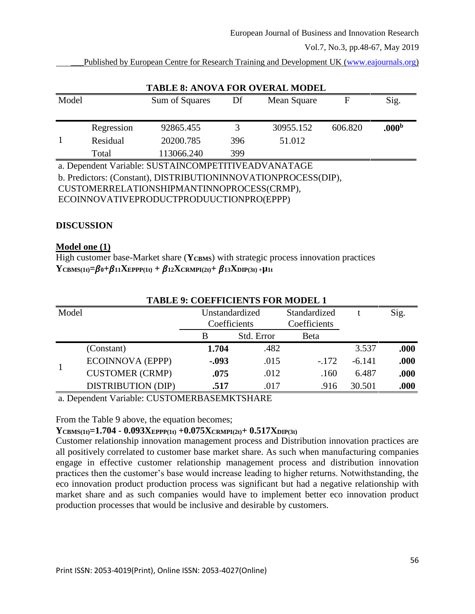Published by European Centre for Research Training and Development UK [\(www.eajournals.org\)](http://www.eajournals.org/)

|       |            | <b>TABLE 8: ANOVA FOR OVERAL MODEL</b>                         |     |             |         |                   |
|-------|------------|----------------------------------------------------------------|-----|-------------|---------|-------------------|
| Model |            | Sum of Squares                                                 | Df  | Mean Square | F       | Sig.              |
|       |            |                                                                |     |             |         |                   |
|       | Regression | 92865.455                                                      | 3   | 30955.152   | 606.820 | .000 <sup>b</sup> |
|       | Residual   | 20200.785                                                      | 396 | 51.012      |         |                   |
|       | Total      | 113066.240                                                     | 399 |             |         |                   |
|       |            | a. Dependent Variable: SUSTAINCOMPETITIVEADVANATAGE            |     |             |         |                   |
|       |            | b. Predictors: (Constant), DISTRIBUTIONINNOVATIONPROCESS(DIP), |     |             |         |                   |
|       |            | CUSTOMERRELATIONSHIPMANTINNOPROCESS(CRMP),                     |     |             |         |                   |
|       |            | ECOINNOVATIVEPRODUCTPRODUUCTIONPRO(EPPP)                       |     |             |         |                   |
|       |            |                                                                |     |             |         |                   |

### **DISCUSSION**

#### **Model one (1)**

High customer base-Market share (YCBMS) with strategic process innovation practices  $Y_{CBMS(1t)} = \beta_0 + \beta_{11} X_{EPPP(1t)} + \beta_{12} X_{CRMPI(2t)} + \beta_{13} X_{DIP(3t)} + \mu_{1t}$ 

|       |                           | TABLE 9: COEFFICIENTS FOR MODEL I |            |              |          |      |
|-------|---------------------------|-----------------------------------|------------|--------------|----------|------|
| Model |                           | Unstandardized                    |            | Standardized |          | Sig. |
|       |                           | Coefficients                      |            | Coefficients |          |      |
|       |                           | B                                 | Std. Error | Beta         |          |      |
|       | (Constant)                | 1.704                             | .482       |              | 3.537    | .000 |
|       | <b>ECOINNOVA (EPPP)</b>   | $-.093$                           | .015       | $-.172$      | $-6.141$ | .000 |
|       | <b>CUSTOMER (CRMP)</b>    | .075                              | .012       | .160         | 6.487    | .000 |
|       | <b>DISTRIBUTION (DIP)</b> | .517                              | .017       | .916         | 30.501   | .000 |

**TABLE 9: COEFFICIENTS FOR MODEL 1**

#### a. Dependent Variable: CUSTOMERBASEMKTSHARE

From the Table 9 above, the equation becomes;

**YCBMS(1t)=1.704 - 0.093XEPPP(1t) +0.075XCRMPI(2t)+ 0.517XDIP(3t)** 

Customer relationship innovation management process and Distribution innovation practices are all positively correlated to customer base market share. As such when manufacturing companies engage in effective customer relationship management process and distribution innovation practices then the customer's base would increase leading to higher returns. Notwithstanding, the eco innovation product production process was significant but had a negative relationship with market share and as such companies would have to implement better eco innovation product production processes that would be inclusive and desirable by customers.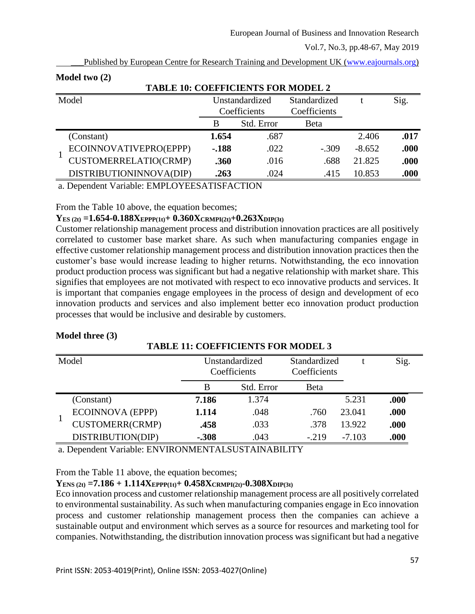|       | 1.204222.70772.77                         |                                |            |                              |          |       |
|-------|-------------------------------------------|--------------------------------|------------|------------------------------|----------|-------|
|       | <b>TABLE 10: COEFFICIENTS FOR MODEL 2</b> |                                |            |                              |          |       |
| Model |                                           | Unstandardized<br>Coefficients |            | Standardized<br>Coefficients |          | Sig.  |
|       |                                           | B                              | Std. Error | Beta                         |          |       |
|       | (Constant)                                | 1.654                          | .687       |                              | 2.406    | .017  |
|       | ECOINNOVATIVEPRO(EPPP)                    | $-.188$                        | .022       | $-.309$                      | $-8.652$ | .000  |
|       | CUSTOMERRELATIO(CRMP)                     | .360                           | .016       | .688                         | 21.825   | .000  |
|       | DISTRIBUTIONINNOVA(DIP)                   | .263                           | .024       | .415                         | 10.853   | .000. |

Published by European Centre for Research Training and Development UK [\(www.eajournals.org\)](http://www.eajournals.org/)

a. Dependent Variable: EMPLOYEESATISFACTION

From the Table 10 above, the equation becomes;

# **YES (2t) =1.654-0.188XEPPP(1t)+ 0.360XCRMPI(2t)+0.263XDIP(3t)**

Customer relationship management process and distribution innovation practices are all positively correlated to customer base market share. As such when manufacturing companies engage in effective customer relationship management process and distribution innovation practices then the customer's base would increase leading to higher returns. Notwithstanding, the eco innovation product production process was significant but had a negative relationship with market share. This signifies that employees are not motivated with respect to eco innovative products and services. It is important that companies engage employees in the process of design and development of eco innovation products and services and also implement better eco innovation product production processes that would be inclusive and desirable by customers.

| Model |                        | Unstandardized<br>Coefficients |            | Standardized<br>Coefficients |          | Sig. |
|-------|------------------------|--------------------------------|------------|------------------------------|----------|------|
|       |                        | B                              | Std. Error | <b>B</b> eta                 |          |      |
|       | (Constant)             | 7.186                          | 1.374      |                              | 5.231    | .000 |
|       | ECOINNOVA (EPPP)       | 1.114                          | .048       | .760                         | 23.041   | .000 |
|       | <b>CUSTOMERR(CRMP)</b> | .458                           | .033       | .378                         | 13.922   | .000 |
|       | DISTRIBUTION(DIP)      | $-.308$                        | .043       | $-.219$                      | $-7.103$ | .000 |

**TABLE 11: COEFFICIENTS FOR MODEL 3**

## **Model three (3)**

**Model two (2)**

a. Dependent Variable: ENVIRONMENTALSUSTAINABILITY

From the Table 11 above, the equation becomes;

# **YENS (2t) =7.186 + 1.114XEPPP(1t)+ 0.458XCRMPI(2t)-0.308XDIP(3t)**

Eco innovation process and customer relationship management process are all positively correlated to environmental sustainability. As such when manufacturing companies engage in Eco innovation process and customer relationship management process then the companies can achieve a sustainable output and environment which serves as a source for resources and marketing tool for companies. Notwithstanding, the distribution innovation process was significant but had a negative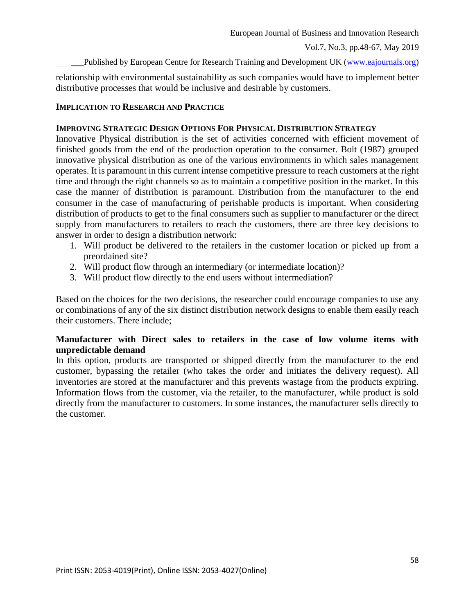Published by European Centre for Research Training and Development UK [\(www.eajournals.org\)](http://www.eajournals.org/)

relationship with environmental sustainability as such companies would have to implement better distributive processes that would be inclusive and desirable by customers.

### **IMPLICATION TO RESEARCH AND PRACTICE**

### **IMPROVING STRATEGIC DESIGN OPTIONS FOR PHYSICAL DISTRIBUTION STRATEGY**

Innovative Physical distribution is the set of activities concerned with efficient movement of finished goods from the end of the production operation to the consumer. Bolt (1987) grouped innovative physical distribution as one of the various environments in which sales management operates. It is paramount in this current intense competitive pressure to reach customers at the right time and through the right channels so as to maintain a competitive position in the market. In this case the manner of distribution is paramount. Distribution from the manufacturer to the end consumer in the case of manufacturing of perishable products is important. When considering distribution of products to get to the final consumers such as supplier to manufacturer or the direct supply from manufacturers to retailers to reach the customers, there are three key decisions to answer in order to design a distribution network:

- 1. Will product be delivered to the retailers in the customer location or picked up from a preordained site?
- 2. Will product flow through an intermediary (or intermediate location)?
- 3. Will product flow directly to the end users without intermediation?

Based on the choices for the two decisions, the researcher could encourage companies to use any or combinations of any of the six distinct distribution network designs to enable them easily reach their customers. There include;

## **Manufacturer with Direct sales to retailers in the case of low volume items with unpredictable demand**

In this option, products are transported or shipped directly from the manufacturer to the end customer, bypassing the retailer (who takes the order and initiates the delivery request). All inventories are stored at the manufacturer and this prevents wastage from the products expiring. Information flows from the customer, via the retailer, to the manufacturer, while product is sold directly from the manufacturer to customers. In some instances, the manufacturer sells directly to the customer.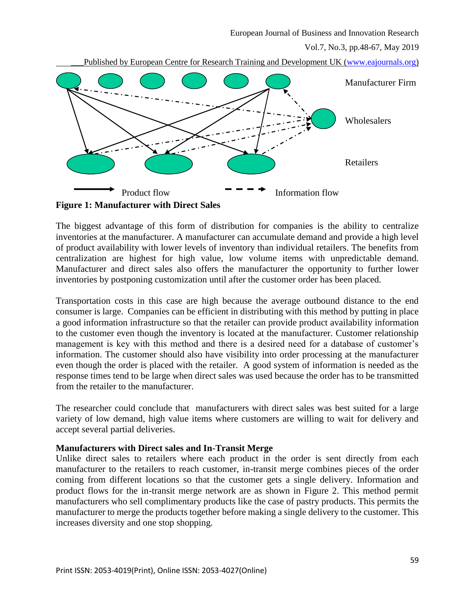European Journal of Business and Innovation Research

Vol.7, No.3, pp.48-67, May 2019

Published by European Centre for Research Training and Development UK [\(www.eajournals.org\)](http://www.eajournals.org/)



**Figure 1: Manufacturer with Direct Sales**

The biggest advantage of this form of distribution for companies is the ability to centralize inventories at the manufacturer. A manufacturer can accumulate demand and provide a high level of product availability with lower levels of inventory than individual retailers. The benefits from centralization are highest for high value, low volume items with unpredictable demand. Manufacturer and direct sales also offers the manufacturer the opportunity to further lower inventories by postponing customization until after the customer order has been placed.

Transportation costs in this case are high because the average outbound distance to the end consumer is large. Companies can be efficient in distributing with this method by putting in place a good information infrastructure so that the retailer can provide product availability information to the customer even though the inventory is located at the manufacturer. Customer relationship management is key with this method and there is a desired need for a database of customer's information. The customer should also have visibility into order processing at the manufacturer even though the order is placed with the retailer. A good system of information is needed as the response times tend to be large when direct sales was used because the order has to be transmitted from the retailer to the manufacturer.

The researcher could conclude that manufacturers with direct sales was best suited for a large variety of low demand, high value items where customers are willing to wait for delivery and accept several partial deliveries.

#### **Manufacturers with Direct sales and In-Transit Merge**

Unlike direct sales to retailers where each product in the order is sent directly from each manufacturer to the retailers to reach customer, in-transit merge combines pieces of the order coming from different locations so that the customer gets a single delivery. Information and product flows for the in-transit merge network are as shown in Figure 2. This method permit manufacturers who sell complimentary products like the case of pastry products. This permits the manufacturer to merge the products together before making a single delivery to the customer. This increases diversity and one stop shopping.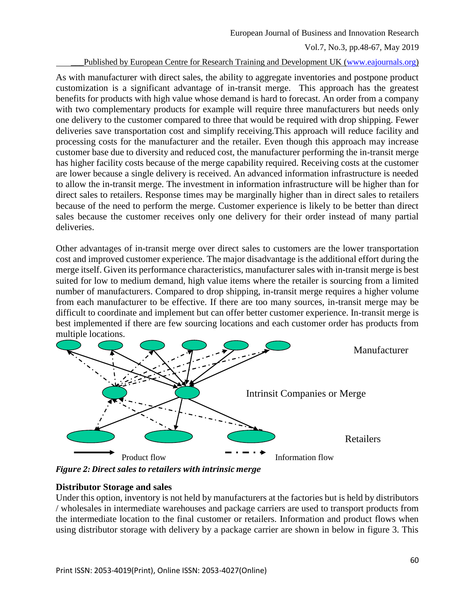#### Published by European Centre for Research Training and Development UK [\(www.eajournals.org\)](http://www.eajournals.org/)

As with manufacturer with direct sales, the ability to aggregate inventories and postpone product customization is a significant advantage of in-transit merge. This approach has the greatest benefits for products with high value whose demand is hard to forecast. An order from a company with two complementary products for example will require three manufacturers but needs only one delivery to the customer compared to three that would be required with drop shipping. Fewer deliveries save transportation cost and simplify receiving.This approach will reduce facility and processing costs for the manufacturer and the retailer. Even though this approach may increase customer base due to diversity and reduced cost, the manufacturer performing the in-transit merge has higher facility costs because of the merge capability required. Receiving costs at the customer are lower because a single delivery is received. An advanced information infrastructure is needed to allow the in-transit merge. The investment in information infrastructure will be higher than for direct sales to retailers. Response times may be marginally higher than in direct sales to retailers because of the need to perform the merge. Customer experience is likely to be better than direct sales because the customer receives only one delivery for their order instead of many partial deliveries.

Other advantages of in-transit merge over direct sales to customers are the lower transportation cost and improved customer experience. The major disadvantage is the additional effort during the merge itself. Given its performance characteristics, manufacturer sales with in-transit merge is best suited for low to medium demand, high value items where the retailer is sourcing from a limited number of manufacturers. Compared to drop shipping, in-transit merge requires a higher volume from each manufacturer to be effective. If there are too many sources, in-transit merge may be difficult to coordinate and implement but can offer better customer experience. In-transit merge is best implemented if there are few sourcing locations and each customer order has products from multiple locations.



*Figure 2: Direct sales to retailers with intrinsic merge*

#### **Distributor Storage and sales**

Under this option, inventory is not held by manufacturers at the factories but is held by distributors / wholesales in intermediate warehouses and package carriers are used to transport products from the intermediate location to the final customer or retailers. Information and product flows when using distributor storage with delivery by a package carrier are shown in below in figure 3. This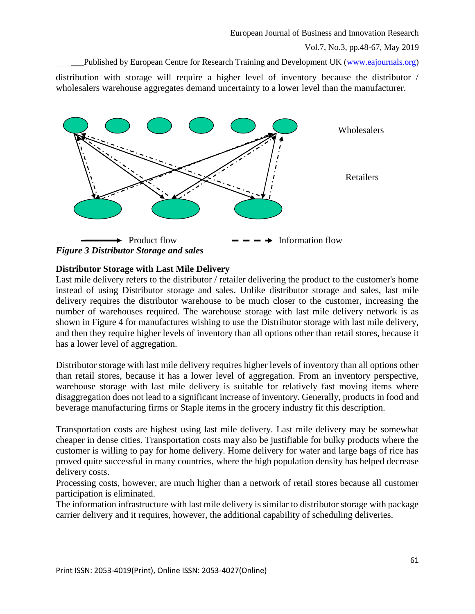Published by European Centre for Research Training and Development UK [\(www.eajournals.org\)](http://www.eajournals.org/)

distribution with storage will require a higher level of inventory because the distributor / wholesalers warehouse aggregates demand uncertainty to a lower level than the manufacturer.



## **Distributor Storage with Last Mile Delivery**

Last mile delivery refers to the distributor / retailer delivering the product to the customer's home instead of using Distributor storage and sales. Unlike distributor storage and sales, last mile delivery requires the distributor warehouse to be much closer to the customer, increasing the number of warehouses required. The warehouse storage with last mile delivery network is as shown in Figure 4 for manufactures wishing to use the Distributor storage with last mile delivery, and then they require higher levels of inventory than all options other than retail stores, because it has a lower level of aggregation.

Distributor storage with last mile delivery requires higher levels of inventory than all options other than retail stores, because it has a lower level of aggregation. From an inventory perspective, warehouse storage with last mile delivery is suitable for relatively fast moving items where disaggregation does not lead to a significant increase of inventory. Generally, products in food and beverage manufacturing firms or Staple items in the grocery industry fit this description.

Transportation costs are highest using last mile delivery. Last mile delivery may be somewhat cheaper in dense cities. Transportation costs may also be justifiable for bulky products where the customer is willing to pay for home delivery. Home delivery for water and large bags of rice has proved quite successful in many countries, where the high population density has helped decrease delivery costs.

Processing costs, however, are much higher than a network of retail stores because all customer participation is eliminated.

The information infrastructure with last mile delivery is similar to distributor storage with package carrier delivery and it requires, however, the additional capability of scheduling deliveries.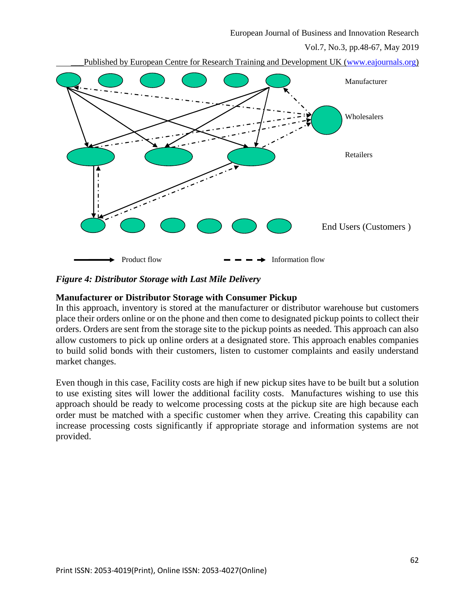



*Figure 4: Distributor Storage with Last Mile Delivery*

### **Manufacturer or Distributor Storage with Consumer Pickup**

In this approach, inventory is stored at the manufacturer or distributor warehouse but customers place their orders online or on the phone and then come to designated pickup points to collect their orders. Orders are sent from the storage site to the pickup points as needed. This approach can also allow customers to pick up online orders at a designated store. This approach enables companies to build solid bonds with their customers, listen to customer complaints and easily understand market changes.

Even though in this case, Facility costs are high if new pickup sites have to be built but a solution to use existing sites will lower the additional facility costs. Manufactures wishing to use this approach should be ready to welcome processing costs at the pickup site are high because each order must be matched with a specific customer when they arrive. Creating this capability can increase processing costs significantly if appropriate storage and information systems are not provided.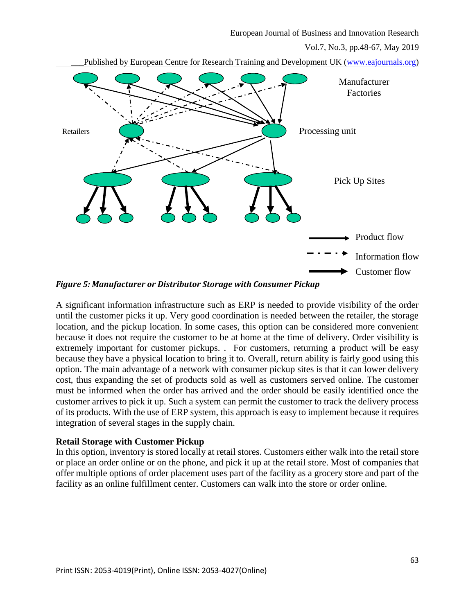Published by European Centre for Research Training and Development UK [\(www.eajournals.org\)](http://www.eajournals.org/)



*Figure 5: Manufacturer or Distributor Storage with Consumer Pickup*

A significant information infrastructure such as ERP is needed to provide visibility of the order until the customer picks it up. Very good coordination is needed between the retailer, the storage location, and the pickup location. In some cases, this option can be considered more convenient because it does not require the customer to be at home at the time of delivery. Order visibility is extremely important for customer pickups. . For customers, returning a product will be easy because they have a physical location to bring it to. Overall, return ability is fairly good using this option. The main advantage of a network with consumer pickup sites is that it can lower delivery cost, thus expanding the set of products sold as well as customers served online. The customer must be informed when the order has arrived and the order should be easily identified once the customer arrives to pick it up. Such a system can permit the customer to track the delivery process of its products. With the use of ERP system, this approach is easy to implement because it requires integration of several stages in the supply chain.

#### **Retail Storage with Customer Pickup**

In this option, inventory is stored locally at retail stores. Customers either walk into the retail store or place an order online or on the phone, and pick it up at the retail store. Most of companies that offer multiple options of order placement uses part of the facility as a grocery store and part of the facility as an online fulfillment center. Customers can walk into the store or order online.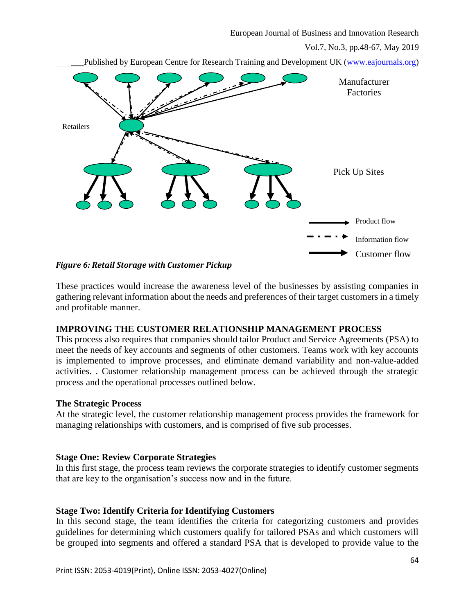Published by European Centre for Research Training and Development UK [\(www.eajournals.org\)](http://www.eajournals.org/)



#### *Figure 6: Retail Storage with Customer Pickup*

These practices would increase the awareness level of the businesses by assisting companies in gathering relevant information about the needs and preferences of their target customers in a timely and profitable manner.

## **IMPROVING THE CUSTOMER RELATIONSHIP MANAGEMENT PROCESS**

This process also requires that companies should tailor Product and Service Agreements (PSA) to meet the needs of key accounts and segments of other customers. Teams work with key accounts is implemented to improve processes, and eliminate demand variability and non-value-added activities. . Customer relationship management process can be achieved through the strategic process and the operational processes outlined below.

#### **The Strategic Process**

At the strategic level, the customer relationship management process provides the framework for managing relationships with customers, and is comprised of five sub processes.

#### **Stage One: Review Corporate Strategies**

In this first stage, the process team reviews the corporate strategies to identify customer segments that are key to the organisation's success now and in the future.

#### **Stage Two: Identify Criteria for Identifying Customers**

In this second stage, the team identifies the criteria for categorizing customers and provides guidelines for determining which customers qualify for tailored PSAs and which customers will be grouped into segments and offered a standard PSA that is developed to provide value to the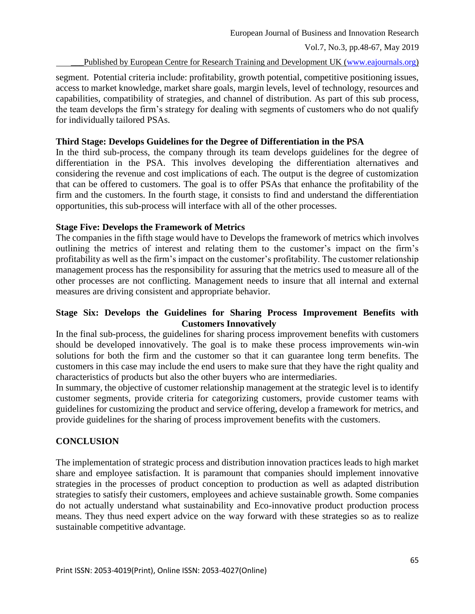Published by European Centre for Research Training and Development UK [\(www.eajournals.org\)](http://www.eajournals.org/)

segment. Potential criteria include: profitability, growth potential, competitive positioning issues, access to market knowledge, market share goals, margin levels, level of technology, resources and capabilities, compatibility of strategies, and channel of distribution. As part of this sub process, the team develops the firm's strategy for dealing with segments of customers who do not qualify for individually tailored PSAs.

### **Third Stage: Develops Guidelines for the Degree of Differentiation in the PSA**

In the third sub-process, the company through its team develops guidelines for the degree of differentiation in the PSA. This involves developing the differentiation alternatives and considering the revenue and cost implications of each. The output is the degree of customization that can be offered to customers. The goal is to offer PSAs that enhance the profitability of the firm and the customers. In the fourth stage, it consists to find and understand the differentiation opportunities, this sub-process will interface with all of the other processes.

### **Stage Five: Develops the Framework of Metrics**

The companies in the fifth stage would have to Develops the framework of metrics which involves outlining the metrics of interest and relating them to the customer's impact on the firm's profitability as well as the firm's impact on the customer's profitability. The customer relationship management process has the responsibility for assuring that the metrics used to measure all of the other processes are not conflicting. Management needs to insure that all internal and external measures are driving consistent and appropriate behavior.

## **Stage Six: Develops the Guidelines for Sharing Process Improvement Benefits with Customers Innovatively**

In the final sub-process, the guidelines for sharing process improvement benefits with customers should be developed innovatively. The goal is to make these process improvements win-win solutions for both the firm and the customer so that it can guarantee long term benefits. The customers in this case may include the end users to make sure that they have the right quality and characteristics of products but also the other buyers who are intermediaries.

In summary, the objective of customer relationship management at the strategic level is to identify customer segments, provide criteria for categorizing customers, provide customer teams with guidelines for customizing the product and service offering, develop a framework for metrics, and provide guidelines for the sharing of process improvement benefits with the customers.

## **CONCLUSION**

The implementation of strategic process and distribution innovation practices leads to high market share and employee satisfaction. It is paramount that companies should implement innovative strategies in the processes of product conception to production as well as adapted distribution strategies to satisfy their customers, employees and achieve sustainable growth. Some companies do not actually understand what sustainability and Eco-innovative product production process means. They thus need expert advice on the way forward with these strategies so as to realize sustainable competitive advantage.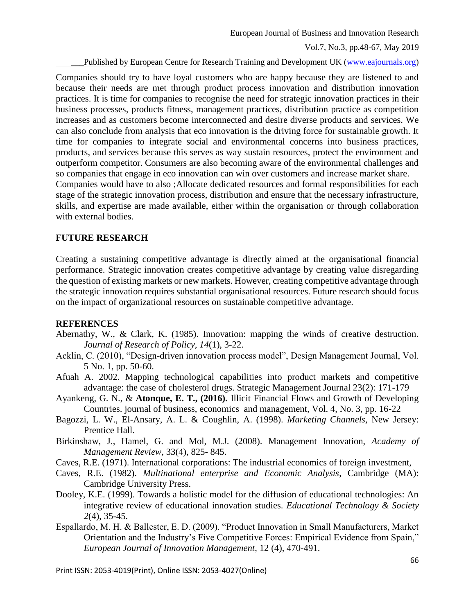Published by European Centre for Research Training and Development UK [\(www.eajournals.org\)](http://www.eajournals.org/)

Companies should try to have loyal customers who are happy because they are listened to and because their needs are met through product process innovation and distribution innovation practices. It is time for companies to recognise the need for strategic innovation practices in their business processes, products fitness, management practices, distribution practice as competition increases and as customers become interconnected and desire diverse products and services. We can also conclude from analysis that eco innovation is the driving force for sustainable growth. It time for companies to integrate social and environmental concerns into business practices, products, and services because this serves as way sustain resources, protect the environment and outperform competitor. Consumers are also becoming aware of the environmental challenges and so companies that engage in eco innovation can win over customers and increase market share. Companies would have to also ;Allocate dedicated resources and formal responsibilities for each stage of the strategic innovation process, distribution and ensure that the necessary infrastructure, skills, and expertise are made available, either within the organisation or through collaboration with external bodies.

## **FUTURE RESEARCH**

Creating a sustaining competitive advantage is directly aimed at the organisational financial performance. Strategic innovation creates competitive advantage by creating value disregarding the question of existing markets or new markets. However, creating competitive advantage through the strategic innovation requires substantial organisational resources. Future research should focus on the impact of organizational resources on sustainable competitive advantage.

## **REFERENCES**

- Abernathy, W., & Clark, K. (1985). Innovation: mapping the winds of creative destruction. *Journal of Research of Policy, 14*(1), 3-22.
- Acklin, C. (2010), "Design-driven innovation process model", Design Management Journal, Vol. 5 No. 1, pp. 50-60.
- Afuah A. 2002. Mapping technological capabilities into product markets and competitive advantage: the case of cholesterol drugs. Strategic Management Journal 23(2): 171-179
- Ayankeng, G. N., & **Atonque, E. T., (2016).** Illicit Financial Flows and Growth of Developing Countries. journal of business, economics and management, Vol. 4, No. 3, pp. 16-22
- Bagozzi, L. W., El-Ansary, A. L. & Coughlin, A. (1998). *Marketing Channels,* New Jersey: Prentice Hall.
- Birkinshaw, J., Hamel, G. and Mol, M.J. (2008). Management Innovation, *Academy of Management Review,* 33(4), 825- 845.
- Caves, R.E. (1971). International corporations: The industrial economics of foreign investment,
- Caves, R.E. (1982). *Multinational enterprise and Economic Analysis*, Cambridge (MA): Cambridge University Press.
- Dooley, K.E. (1999). Towards a holistic model for the diffusion of educational technologies: An integrative review of educational innovation studies. *Educational Technology & Society 2*(4), 35-45.
- Espallardo, M. H. & Ballester, E. D. (2009). "Product Innovation in Small Manufacturers, Market Orientation and the Industry's Five Competitive Forces: Empirical Evidence from Spain," *European Journal of Innovation Management*, 12 (4), 470-491.